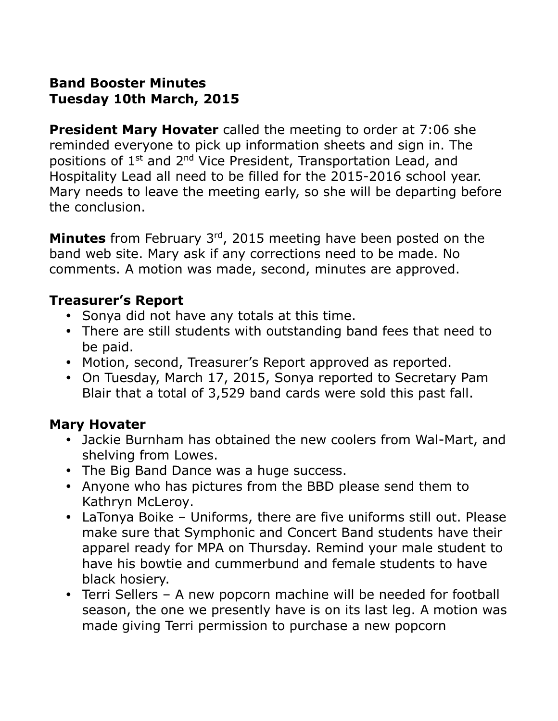# **Band Booster Minutes Tuesday 10th March, 2015**

**President Mary Hovater** called the meeting to order at 7:06 she reminded everyone to pick up information sheets and sign in. The positions of 1<sup>st</sup> and 2<sup>nd</sup> Vice President, Transportation Lead, and Hospitality Lead all need to be filled for the 2015-2016 school year. Mary needs to leave the meeting early, so she will be departing before the conclusion.

**Minutes** from February 3rd, 2015 meeting have been posted on the band web site. Mary ask if any corrections need to be made. No comments. A motion was made, second, minutes are approved.

## **Treasurer's Report**

- Sonya did not have any totals at this time.
- There are still students with outstanding band fees that need to be paid.
- Motion, second, Treasurer's Report approved as reported.
- On Tuesday, March 17, 2015, Sonya reported to Secretary Pam Blair that a total of 3,529 band cards were sold this past fall.

## **Mary Hovater**

- Jackie Burnham has obtained the new coolers from Wal-Mart, and shelving from Lowes.
- The Big Band Dance was a huge success.
- Anyone who has pictures from the BBD please send them to Kathryn McLeroy.
- LaTonya Boike Uniforms, there are five uniforms still out. Please make sure that Symphonic and Concert Band students have their apparel ready for MPA on Thursday. Remind your male student to have his bowtie and cummerbund and female students to have black hosiery.
- Terri Sellers A new popcorn machine will be needed for football season, the one we presently have is on its last leg. A motion was made giving Terri permission to purchase a new popcorn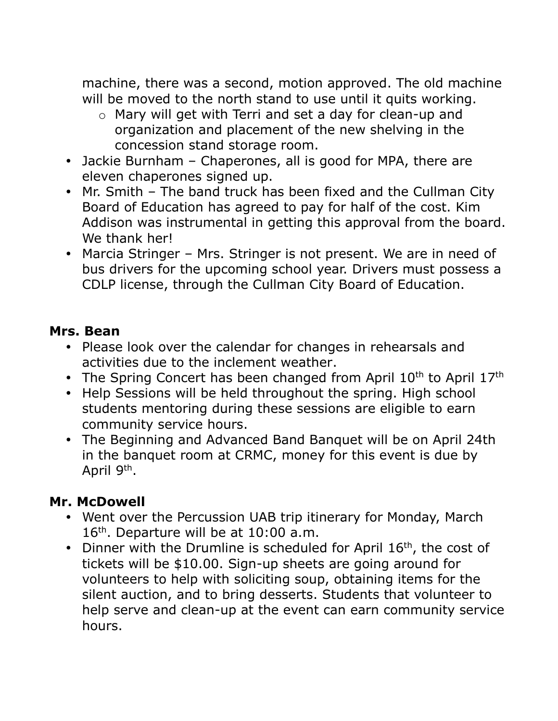machine, there was a second, motion approved. The old machine will be moved to the north stand to use until it quits working.

- o Mary will get with Terri and set a day for clean-up and organization and placement of the new shelving in the concession stand storage room.
- Jackie Burnham Chaperones, all is good for MPA, there are eleven chaperones signed up.
- Mr. Smith The band truck has been fixed and the Cullman City Board of Education has agreed to pay for half of the cost. Kim Addison was instrumental in getting this approval from the board. We thank her!
- Marcia Stringer Mrs. Stringer is not present. We are in need of bus drivers for the upcoming school year. Drivers must possess a CDLP license, through the Cullman City Board of Education.

## **Mrs. Bean**

- Please look over the calendar for changes in rehearsals and activities due to the inclement weather.
- The Spring Concert has been changed from April  $10<sup>th</sup>$  to April  $17<sup>th</sup>$
- Help Sessions will be held throughout the spring. High school students mentoring during these sessions are eligible to earn community service hours.
- The Beginning and Advanced Band Banquet will be on April 24th in the banquet room at CRMC, money for this event is due by April 9<sup>th</sup>.

## **Mr. McDowell**

- Went over the Percussion UAB trip itinerary for Monday, March  $16<sup>th</sup>$ . Departure will be at  $10:00$  a.m.
- Dinner with the Drumline is scheduled for April  $16<sup>th</sup>$ , the cost of tickets will be \$10.00. Sign-up sheets are going around for volunteers to help with soliciting soup, obtaining items for the silent auction, and to bring desserts. Students that volunteer to help serve and clean-up at the event can earn community service hours.